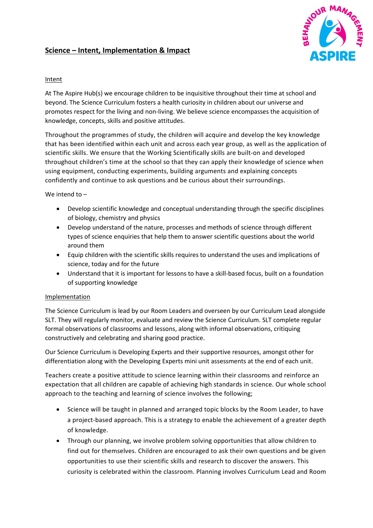# **Science – Intent, Implementation & Impact**



## Intent

At The Aspire Hub(s) we encourage children to be inquisitive throughout their time at school and beyond. The Science Curriculum fosters a health curiosity in children about our universe and promotes respect for the living and non-living. We believe science encompasses the acquisition of knowledge, concepts, skills and positive attitudes.

Throughout the programmes of study, the children will acquire and develop the key knowledge that has been identified within each unit and across each year group, as well as the application of scientific skills. We ensure that the Working Scientifically skills are built-on and developed throughout children's time at the school so that they can apply their knowledge of science when using equipment, conducting experiments, building arguments and explaining concepts confidently and continue to ask questions and be curious about their surroundings.

## We intend to –

- Develop scientific knowledge and conceptual understanding through the specific disciplines of biology, chemistry and physics
- Develop understand of the nature, processes and methods of science through different types of science enquiries that help them to answer scientific questions about the world around them
- Equip children with the scientific skills requires to understand the uses and implications of science, today and for the future
- Understand that it is important for lessons to have a skill-based focus, built on a foundation of supporting knowledge

### Implementation

The Science Curriculum is lead by our Room Leaders and overseen by our Curriculum Lead alongside SLT. They will regularly monitor, evaluate and review the Science Curriculum. SLT complete regular formal observations of classrooms and lessons, along with informal observations, critiquing constructively and celebrating and sharing good practice.

Our Science Curriculum is Developing Experts and their supportive resources, amongst other for differentiation along with the Developing Experts mini unit assessments at the end of each unit.

Teachers create a positive attitude to science learning within their classrooms and reinforce an expectation that all children are capable of achieving high standards in science. Our whole school approach to the teaching and learning of science involves the following;

- Science will be taught in planned and arranged topic blocks by the Room Leader, to have a project-based approach. This is a strategy to enable the achievement of a greater depth of knowledge.
- Through our planning, we involve problem solving opportunities that allow children to find out for themselves. Children are encouraged to ask their own questions and be given opportunities to use their scientific skills and research to discover the answers. This curiosity is celebrated within the classroom. Planning involves Curriculum Lead and Room